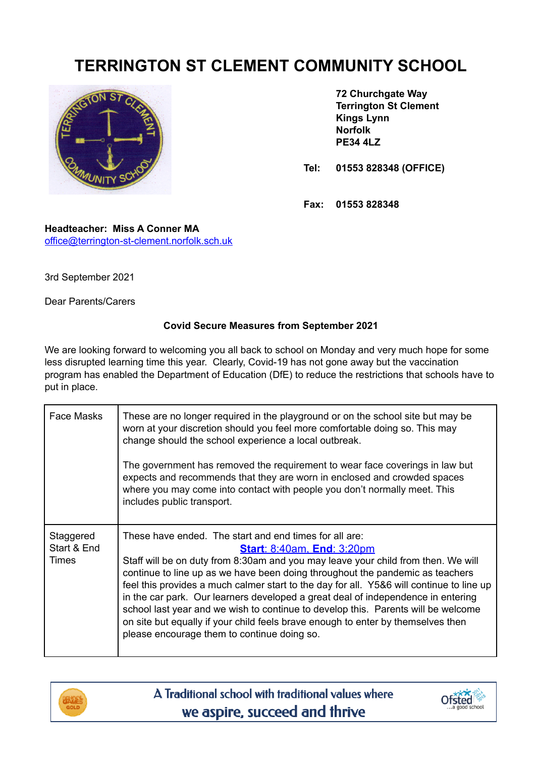## **TERRINGTON ST CLEMENT COMMUNITY SCHOOL**



**72 Churchgate Way Terrington St Clement Kings Lynn Norfolk PE34 4LZ**

**Tel: 01553 828348 (OFFICE)**

**Fax: 01553 828348**

**Headteacher: Miss A Conner MA** [office@terrington-st-clement.norfolk.sch.uk](mailto:office@terrington-st-clement.norfolk.sch.uk)

3rd September 2021

Dear Parents/Carers

## **Covid Secure Measures from September 2021**

We are looking forward to welcoming you all back to school on Monday and very much hope for some less disrupted learning time this year. Clearly, Covid-19 has not gone away but the vaccination program has enabled the Department of Education (DfE) to reduce the restrictions that schools have to put in place.

| Face Masks                        | These are no longer required in the playground or on the school site but may be<br>worn at your discretion should you feel more comfortable doing so. This may<br>change should the school experience a local outbreak.<br>The government has removed the requirement to wear face coverings in law but<br>expects and recommends that they are worn in enclosed and crowded spaces<br>where you may come into contact with people you don't normally meet. This<br>includes public transport.                                                                                                                                                                            |
|-----------------------------------|---------------------------------------------------------------------------------------------------------------------------------------------------------------------------------------------------------------------------------------------------------------------------------------------------------------------------------------------------------------------------------------------------------------------------------------------------------------------------------------------------------------------------------------------------------------------------------------------------------------------------------------------------------------------------|
| Staggered<br>Start & End<br>Times | These have ended. The start and end times for all are:<br><b>Start: 8:40am, End: 3:20pm</b><br>Staff will be on duty from 8:30am and you may leave your child from then. We will<br>continue to line up as we have been doing throughout the pandemic as teachers<br>feel this provides a much calmer start to the day for all. Y5&6 will continue to line up<br>in the car park. Our learners developed a great deal of independence in entering<br>school last year and we wish to continue to develop this. Parents will be welcome<br>on site but equally if your child feels brave enough to enter by themselves then<br>please encourage them to continue doing so. |



A Traditional school with traditional values where we aspire, succeed and thrive

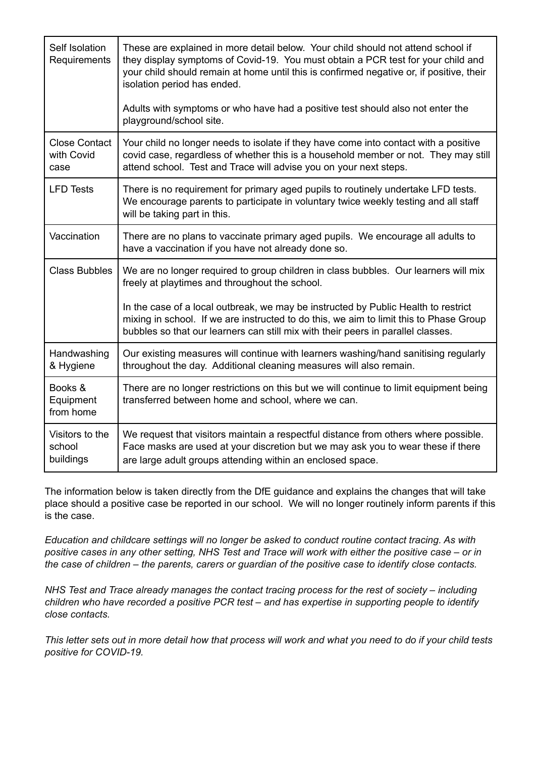| Self Isolation<br>Requirements             | These are explained in more detail below. Your child should not attend school if<br>they display symptoms of Covid-19. You must obtain a PCR test for your child and<br>your child should remain at home until this is confirmed negative or, if positive, their<br>isolation period has ended. |
|--------------------------------------------|-------------------------------------------------------------------------------------------------------------------------------------------------------------------------------------------------------------------------------------------------------------------------------------------------|
|                                            | Adults with symptoms or who have had a positive test should also not enter the<br>playground/school site.                                                                                                                                                                                       |
| <b>Close Contact</b><br>with Covid<br>case | Your child no longer needs to isolate if they have come into contact with a positive<br>covid case, regardless of whether this is a household member or not. They may still<br>attend school. Test and Trace will advise you on your next steps.                                                |
| <b>LFD Tests</b>                           | There is no requirement for primary aged pupils to routinely undertake LFD tests.<br>We encourage parents to participate in voluntary twice weekly testing and all staff<br>will be taking part in this.                                                                                        |
| Vaccination                                | There are no plans to vaccinate primary aged pupils. We encourage all adults to<br>have a vaccination if you have not already done so.                                                                                                                                                          |
| <b>Class Bubbles</b>                       | We are no longer required to group children in class bubbles. Our learners will mix<br>freely at playtimes and throughout the school.                                                                                                                                                           |
|                                            | In the case of a local outbreak, we may be instructed by Public Health to restrict<br>mixing in school. If we are instructed to do this, we aim to limit this to Phase Group<br>bubbles so that our learners can still mix with their peers in parallel classes.                                |
| Handwashing<br>& Hygiene                   | Our existing measures will continue with learners washing/hand sanitising regularly<br>throughout the day. Additional cleaning measures will also remain.                                                                                                                                       |
| Books &<br>Equipment<br>from home          | There are no longer restrictions on this but we will continue to limit equipment being<br>transferred between home and school, where we can.                                                                                                                                                    |
| Visitors to the<br>school<br>buildings     | We request that visitors maintain a respectful distance from others where possible.<br>Face masks are used at your discretion but we may ask you to wear these if there<br>are large adult groups attending within an enclosed space.                                                           |

The information below is taken directly from the DfE guidance and explains the changes that will take place should a positive case be reported in our school. We will no longer routinely inform parents if this is the case.

*Education and childcare settings will no longer be asked to conduct routine contact tracing. As with* positive cases in any other setting, NHS Test and Trace will work with either the positive case – or in the case of children – the parents, carers or guardian of the positive case to identify close contacts.

*NHS Test and Trace already manages the contact tracing process for the rest of society – including children who have recorded a positive PCR test – and has expertise in supporting people to identify close contacts.*

This letter sets out in more detail how that process will work and what you need to do if your child tests *positive for COVID-19.*